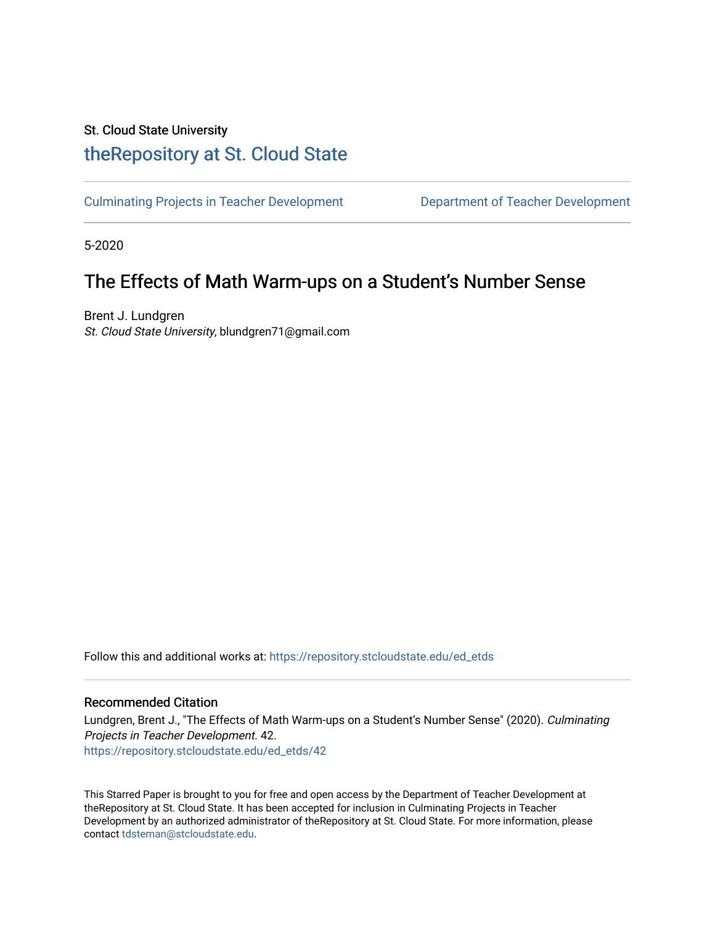# St. Cloud State University

# [theRepository at St. Cloud State](https://repository.stcloudstate.edu/)

[Culminating Projects in Teacher Development](https://repository.stcloudstate.edu/ed_etds) [Department of Teacher Development](https://repository.stcloudstate.edu/ed) 

5-2020

# The Effects of Math Warm-ups on a Student's Number Sense

Brent J. Lundgren St. Cloud State University, blundgren71@gmail.com

Follow this and additional works at: [https://repository.stcloudstate.edu/ed\\_etds](https://repository.stcloudstate.edu/ed_etds?utm_source=repository.stcloudstate.edu%2Fed_etds%2F42&utm_medium=PDF&utm_campaign=PDFCoverPages)

### Recommended Citation

Lundgren, Brent J., "The Effects of Math Warm-ups on a Student's Number Sense" (2020). Culminating Projects in Teacher Development. 42. [https://repository.stcloudstate.edu/ed\\_etds/42](https://repository.stcloudstate.edu/ed_etds/42?utm_source=repository.stcloudstate.edu%2Fed_etds%2F42&utm_medium=PDF&utm_campaign=PDFCoverPages) 

This Starred Paper is brought to you for free and open access by the Department of Teacher Development at theRepository at St. Cloud State. It has been accepted for inclusion in Culminating Projects in Teacher Development by an authorized administrator of theRepository at St. Cloud State. For more information, please contact [tdsteman@stcloudstate.edu.](mailto:tdsteman@stcloudstate.edu)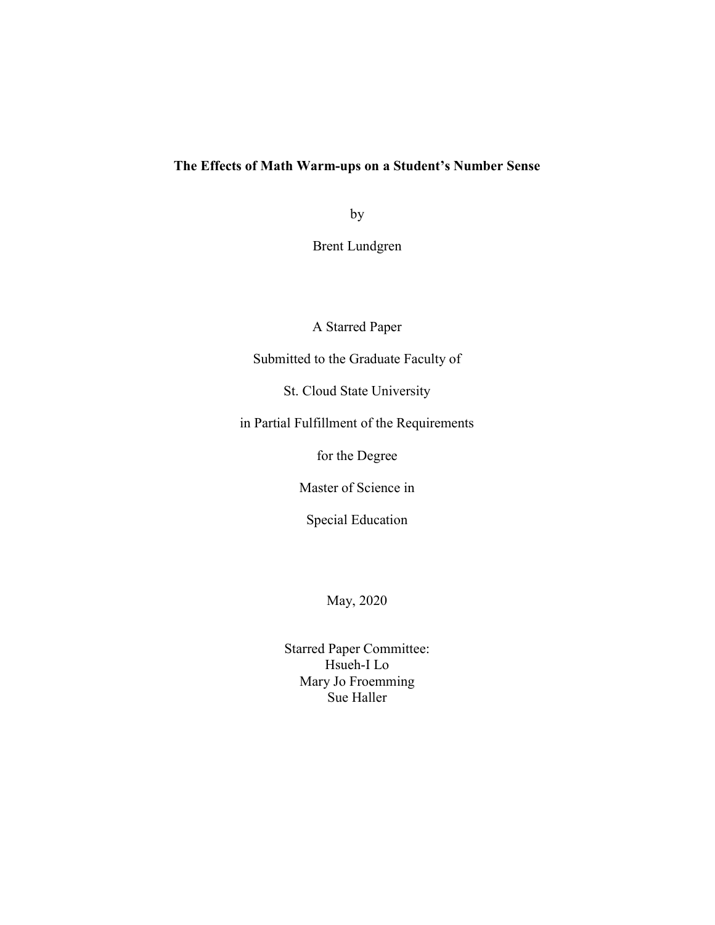### The Effects of Math Warm-ups on a Student's Number Sense

by

Brent Lundgren

A Starred Paper

Submitted to the Graduate Faculty of

St. Cloud State University

in Partial Fulfillment of the Requirements

for the Degree

Master of Science in

Special Education

May, 2020

Starred Paper Committee: Hsueh-I Lo Mary Jo Froemming Sue Haller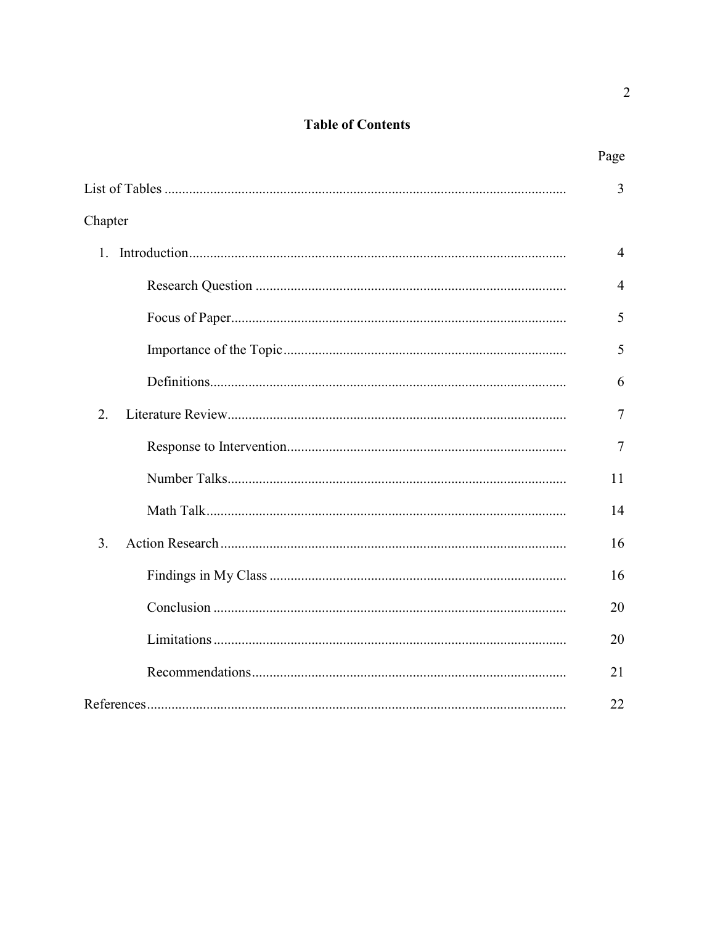# **Table of Contents**

|         | Page           |
|---------|----------------|
|         | 3              |
| Chapter |                |
|         | 4              |
|         | $\overline{4}$ |
|         | 5              |
|         | 5              |
|         | 6              |
| 2.      | 7              |
|         | $\tau$         |
|         | 11             |
|         | 14             |
| 3.      | 16             |
|         | 16             |
|         | 20             |
|         | 20             |
|         | 21             |
|         | 22             |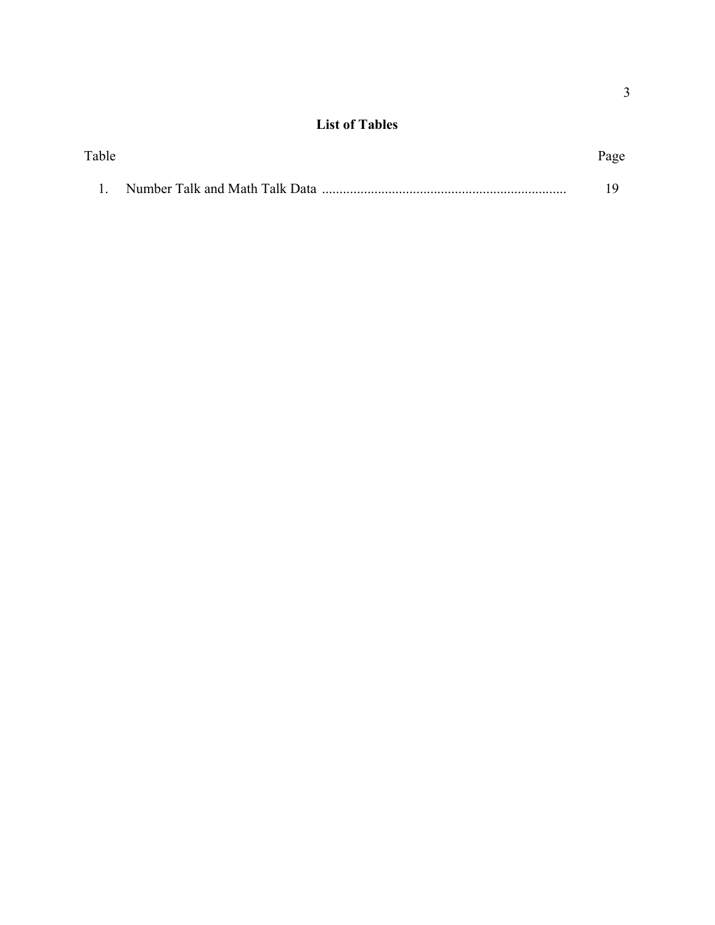## List of Tables

| Table | Page |
|-------|------|
|       |      |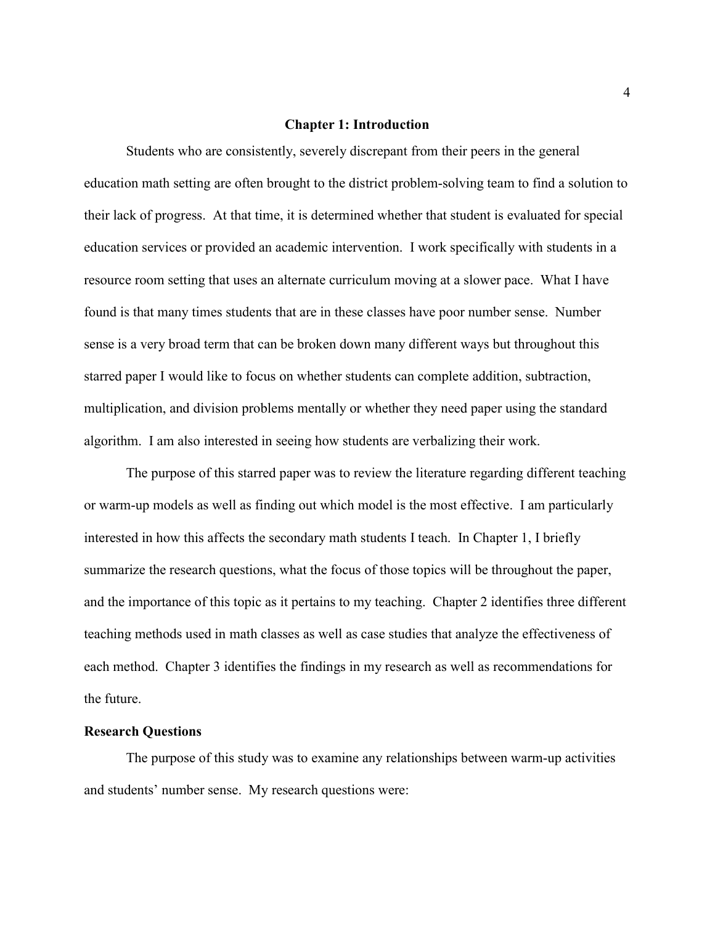#### Chapter 1: Introduction

Students who are consistently, severely discrepant from their peers in the general education math setting are often brought to the district problem-solving team to find a solution to their lack of progress. At that time, it is determined whether that student is evaluated for special education services or provided an academic intervention. I work specifically with students in a resource room setting that uses an alternate curriculum moving at a slower pace. What I have found is that many times students that are in these classes have poor number sense. Number sense is a very broad term that can be broken down many different ways but throughout this starred paper I would like to focus on whether students can complete addition, subtraction, multiplication, and division problems mentally or whether they need paper using the standard algorithm. I am also interested in seeing how students are verbalizing their work.

The purpose of this starred paper was to review the literature regarding different teaching or warm-up models as well as finding out which model is the most effective. I am particularly interested in how this affects the secondary math students I teach. In Chapter 1, I briefly summarize the research questions, what the focus of those topics will be throughout the paper, and the importance of this topic as it pertains to my teaching. Chapter 2 identifies three different teaching methods used in math classes as well as case studies that analyze the effectiveness of each method. Chapter 3 identifies the findings in my research as well as recommendations for the future.

#### Research Questions

The purpose of this study was to examine any relationships between warm-up activities and students' number sense. My research questions were: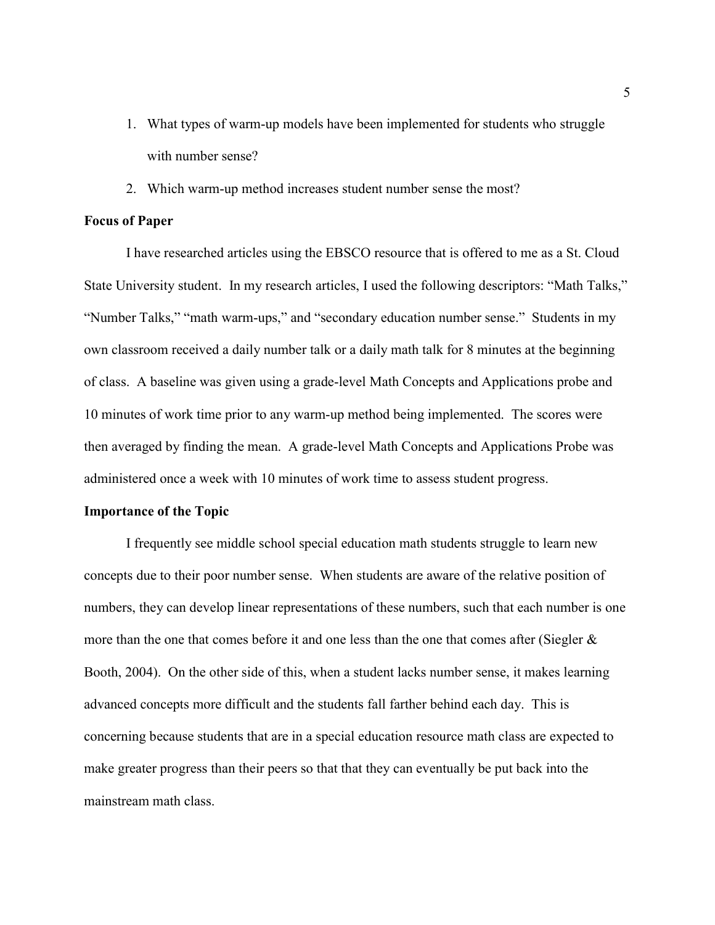- 1. What types of warm-up models have been implemented for students who struggle with number sense?
- 2. Which warm-up method increases student number sense the most?

#### Focus of Paper

I have researched articles using the EBSCO resource that is offered to me as a St. Cloud State University student. In my research articles, I used the following descriptors: "Math Talks," "Number Talks," "math warm-ups," and "secondary education number sense." Students in my own classroom received a daily number talk or a daily math talk for 8 minutes at the beginning of class. A baseline was given using a grade-level Math Concepts and Applications probe and 10 minutes of work time prior to any warm-up method being implemented. The scores were then averaged by finding the mean. A grade-level Math Concepts and Applications Probe was administered once a week with 10 minutes of work time to assess student progress.

#### Importance of the Topic

I frequently see middle school special education math students struggle to learn new concepts due to their poor number sense. When students are aware of the relative position of numbers, they can develop linear representations of these numbers, such that each number is one more than the one that comes before it and one less than the one that comes after (Siegler  $\&$ Booth, 2004). On the other side of this, when a student lacks number sense, it makes learning advanced concepts more difficult and the students fall farther behind each day. This is concerning because students that are in a special education resource math class are expected to make greater progress than their peers so that that they can eventually be put back into the mainstream math class.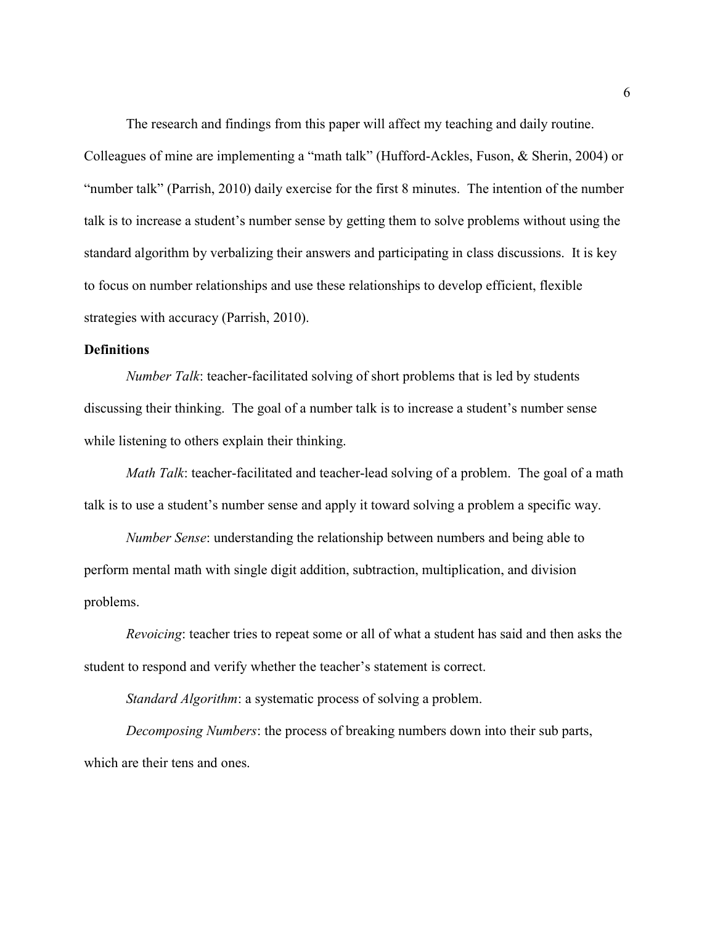The research and findings from this paper will affect my teaching and daily routine. Colleagues of mine are implementing a "math talk" (Hufford-Ackles, Fuson, & Sherin, 2004) or "number talk" (Parrish, 2010) daily exercise for the first 8 minutes. The intention of the number talk is to increase a student's number sense by getting them to solve problems without using the standard algorithm by verbalizing their answers and participating in class discussions. It is key to focus on number relationships and use these relationships to develop efficient, flexible strategies with accuracy (Parrish, 2010).

### **Definitions**

Number Talk: teacher-facilitated solving of short problems that is led by students discussing their thinking. The goal of a number talk is to increase a student's number sense while listening to others explain their thinking.

Math Talk: teacher-facilitated and teacher-lead solving of a problem. The goal of a math talk is to use a student's number sense and apply it toward solving a problem a specific way.

Number Sense: understanding the relationship between numbers and being able to perform mental math with single digit addition, subtraction, multiplication, and division problems.

Revoicing: teacher tries to repeat some or all of what a student has said and then asks the student to respond and verify whether the teacher's statement is correct.

Standard Algorithm: a systematic process of solving a problem.

Decomposing Numbers: the process of breaking numbers down into their sub parts, which are their tens and ones.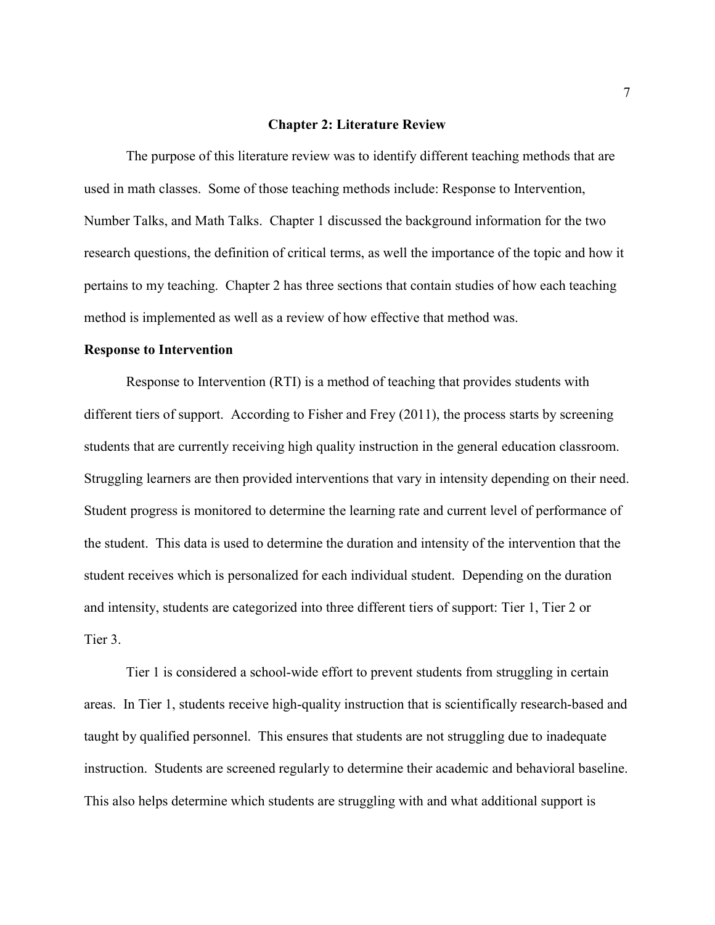#### Chapter 2: Literature Review

The purpose of this literature review was to identify different teaching methods that are used in math classes. Some of those teaching methods include: Response to Intervention, Number Talks, and Math Talks. Chapter 1 discussed the background information for the two research questions, the definition of critical terms, as well the importance of the topic and how it pertains to my teaching. Chapter 2 has three sections that contain studies of how each teaching method is implemented as well as a review of how effective that method was.

#### Response to Intervention

Response to Intervention (RTI) is a method of teaching that provides students with different tiers of support. According to Fisher and Frey (2011), the process starts by screening students that are currently receiving high quality instruction in the general education classroom. Struggling learners are then provided interventions that vary in intensity depending on their need. Student progress is monitored to determine the learning rate and current level of performance of the student. This data is used to determine the duration and intensity of the intervention that the student receives which is personalized for each individual student. Depending on the duration and intensity, students are categorized into three different tiers of support: Tier 1, Tier 2 or Tier 3.

 Tier 1 is considered a school-wide effort to prevent students from struggling in certain areas. In Tier 1, students receive high-quality instruction that is scientifically research-based and taught by qualified personnel. This ensures that students are not struggling due to inadequate instruction. Students are screened regularly to determine their academic and behavioral baseline. This also helps determine which students are struggling with and what additional support is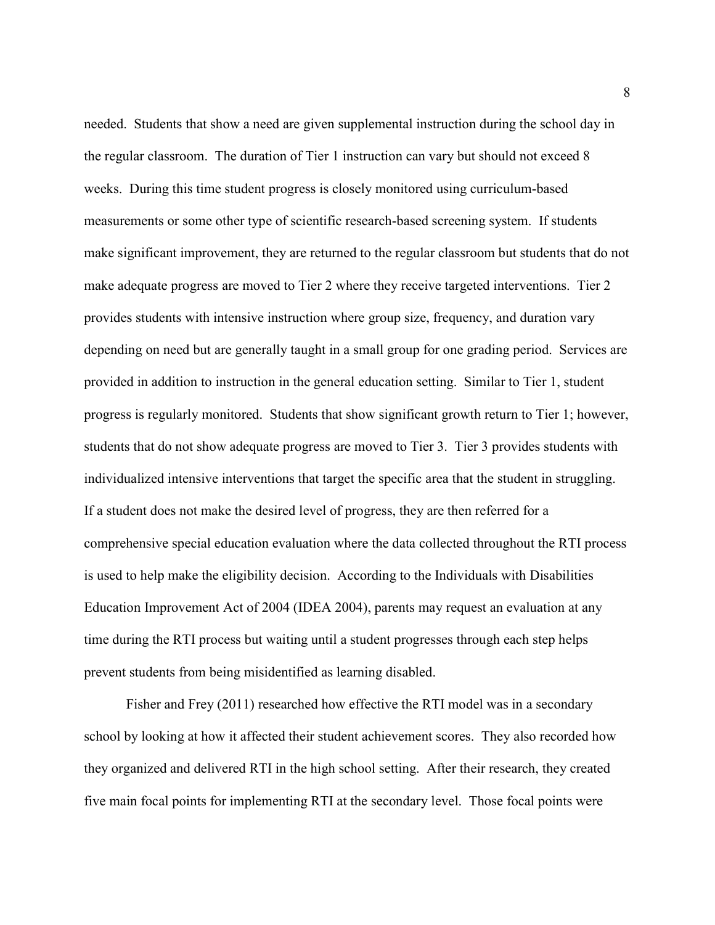needed. Students that show a need are given supplemental instruction during the school day in the regular classroom. The duration of Tier 1 instruction can vary but should not exceed 8 weeks. During this time student progress is closely monitored using curriculum-based measurements or some other type of scientific research-based screening system. If students make significant improvement, they are returned to the regular classroom but students that do not make adequate progress are moved to Tier 2 where they receive targeted interventions. Tier 2 provides students with intensive instruction where group size, frequency, and duration vary depending on need but are generally taught in a small group for one grading period. Services are provided in addition to instruction in the general education setting. Similar to Tier 1, student progress is regularly monitored. Students that show significant growth return to Tier 1; however, students that do not show adequate progress are moved to Tier 3. Tier 3 provides students with individualized intensive interventions that target the specific area that the student in struggling. If a student does not make the desired level of progress, they are then referred for a comprehensive special education evaluation where the data collected throughout the RTI process is used to help make the eligibility decision. According to the Individuals with Disabilities Education Improvement Act of 2004 (IDEA 2004), parents may request an evaluation at any time during the RTI process but waiting until a student progresses through each step helps prevent students from being misidentified as learning disabled.

 Fisher and Frey (2011) researched how effective the RTI model was in a secondary school by looking at how it affected their student achievement scores. They also recorded how they organized and delivered RTI in the high school setting. After their research, they created five main focal points for implementing RTI at the secondary level. Those focal points were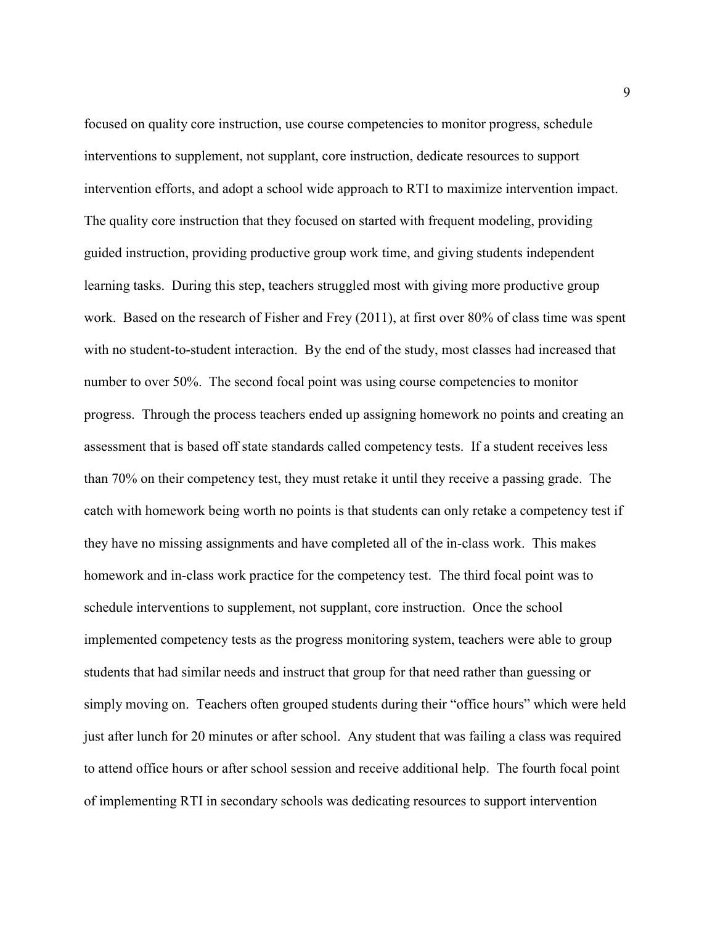focused on quality core instruction, use course competencies to monitor progress, schedule interventions to supplement, not supplant, core instruction, dedicate resources to support intervention efforts, and adopt a school wide approach to RTI to maximize intervention impact. The quality core instruction that they focused on started with frequent modeling, providing guided instruction, providing productive group work time, and giving students independent learning tasks. During this step, teachers struggled most with giving more productive group work. Based on the research of Fisher and Frey (2011), at first over 80% of class time was spent with no student-to-student interaction. By the end of the study, most classes had increased that number to over 50%. The second focal point was using course competencies to monitor progress. Through the process teachers ended up assigning homework no points and creating an assessment that is based off state standards called competency tests. If a student receives less than 70% on their competency test, they must retake it until they receive a passing grade. The catch with homework being worth no points is that students can only retake a competency test if they have no missing assignments and have completed all of the in-class work. This makes homework and in-class work practice for the competency test. The third focal point was to schedule interventions to supplement, not supplant, core instruction. Once the school implemented competency tests as the progress monitoring system, teachers were able to group students that had similar needs and instruct that group for that need rather than guessing or simply moving on. Teachers often grouped students during their "office hours" which were held just after lunch for 20 minutes or after school. Any student that was failing a class was required to attend office hours or after school session and receive additional help. The fourth focal point of implementing RTI in secondary schools was dedicating resources to support intervention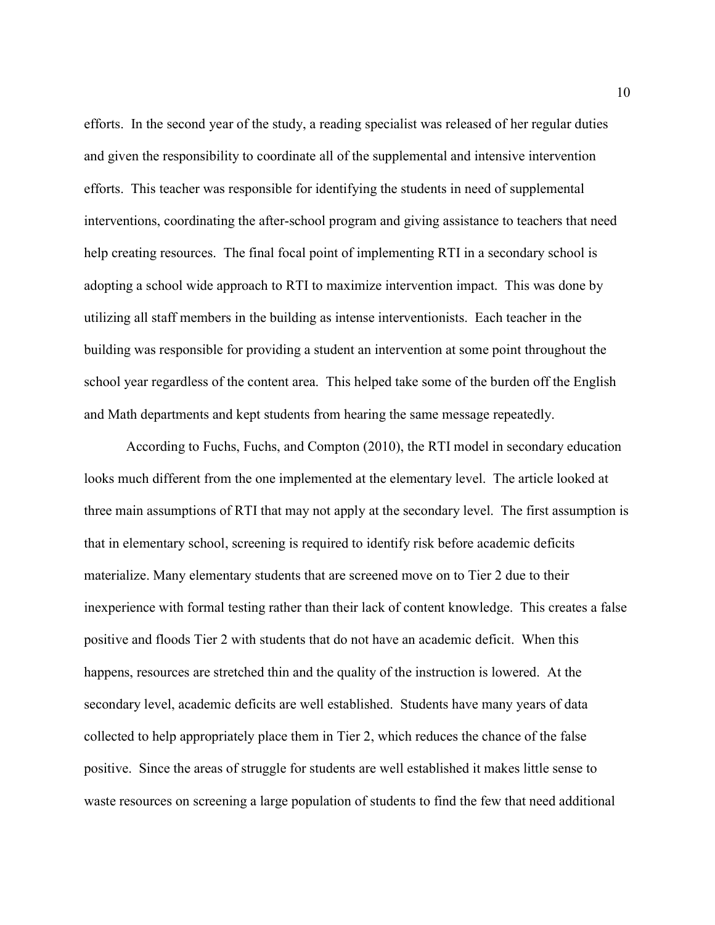efforts. In the second year of the study, a reading specialist was released of her regular duties and given the responsibility to coordinate all of the supplemental and intensive intervention efforts. This teacher was responsible for identifying the students in need of supplemental interventions, coordinating the after-school program and giving assistance to teachers that need help creating resources. The final focal point of implementing RTI in a secondary school is adopting a school wide approach to RTI to maximize intervention impact. This was done by utilizing all staff members in the building as intense interventionists. Each teacher in the building was responsible for providing a student an intervention at some point throughout the school year regardless of the content area. This helped take some of the burden off the English and Math departments and kept students from hearing the same message repeatedly.

 According to Fuchs, Fuchs, and Compton (2010), the RTI model in secondary education looks much different from the one implemented at the elementary level. The article looked at three main assumptions of RTI that may not apply at the secondary level. The first assumption is that in elementary school, screening is required to identify risk before academic deficits materialize. Many elementary students that are screened move on to Tier 2 due to their inexperience with formal testing rather than their lack of content knowledge. This creates a false positive and floods Tier 2 with students that do not have an academic deficit. When this happens, resources are stretched thin and the quality of the instruction is lowered. At the secondary level, academic deficits are well established. Students have many years of data collected to help appropriately place them in Tier 2, which reduces the chance of the false positive. Since the areas of struggle for students are well established it makes little sense to waste resources on screening a large population of students to find the few that need additional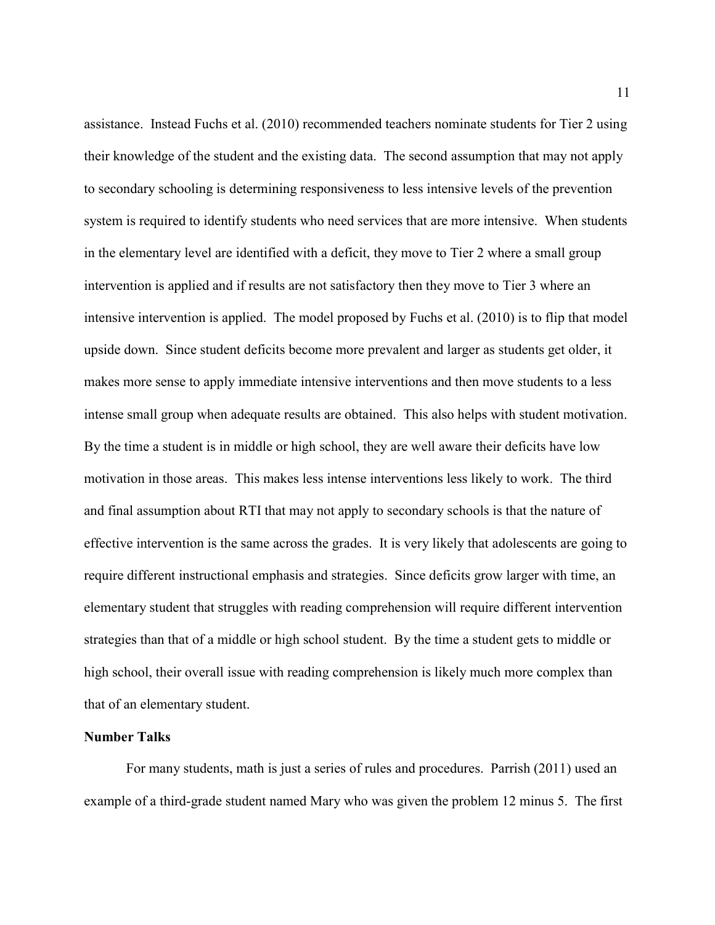assistance. Instead Fuchs et al. (2010) recommended teachers nominate students for Tier 2 using their knowledge of the student and the existing data. The second assumption that may not apply to secondary schooling is determining responsiveness to less intensive levels of the prevention system is required to identify students who need services that are more intensive. When students in the elementary level are identified with a deficit, they move to Tier 2 where a small group intervention is applied and if results are not satisfactory then they move to Tier 3 where an intensive intervention is applied. The model proposed by Fuchs et al. (2010) is to flip that model upside down. Since student deficits become more prevalent and larger as students get older, it makes more sense to apply immediate intensive interventions and then move students to a less intense small group when adequate results are obtained. This also helps with student motivation. By the time a student is in middle or high school, they are well aware their deficits have low motivation in those areas. This makes less intense interventions less likely to work. The third and final assumption about RTI that may not apply to secondary schools is that the nature of effective intervention is the same across the grades. It is very likely that adolescents are going to require different instructional emphasis and strategies. Since deficits grow larger with time, an elementary student that struggles with reading comprehension will require different intervention strategies than that of a middle or high school student. By the time a student gets to middle or high school, their overall issue with reading comprehension is likely much more complex than that of an elementary student.

#### Number Talks

For many students, math is just a series of rules and procedures. Parrish (2011) used an example of a third-grade student named Mary who was given the problem 12 minus 5. The first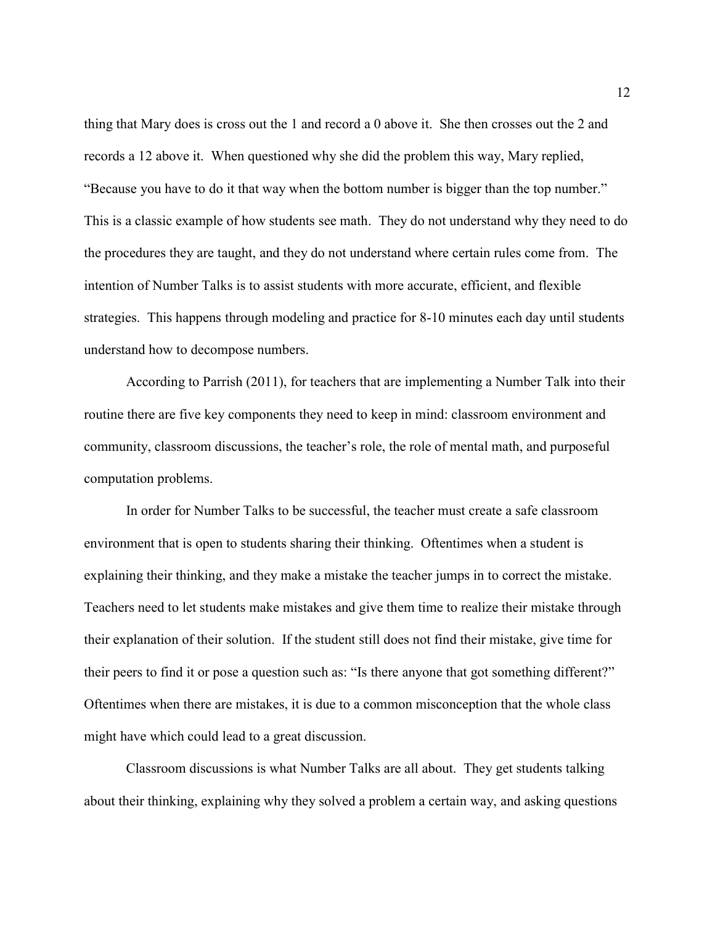thing that Mary does is cross out the 1 and record a 0 above it. She then crosses out the 2 and records a 12 above it. When questioned why she did the problem this way, Mary replied, "Because you have to do it that way when the bottom number is bigger than the top number." This is a classic example of how students see math. They do not understand why they need to do the procedures they are taught, and they do not understand where certain rules come from. The intention of Number Talks is to assist students with more accurate, efficient, and flexible strategies. This happens through modeling and practice for 8-10 minutes each day until students understand how to decompose numbers.

According to Parrish (2011), for teachers that are implementing a Number Talk into their routine there are five key components they need to keep in mind: classroom environment and community, classroom discussions, the teacher's role, the role of mental math, and purposeful computation problems.

In order for Number Talks to be successful, the teacher must create a safe classroom environment that is open to students sharing their thinking. Oftentimes when a student is explaining their thinking, and they make a mistake the teacher jumps in to correct the mistake. Teachers need to let students make mistakes and give them time to realize their mistake through their explanation of their solution. If the student still does not find their mistake, give time for their peers to find it or pose a question such as: "Is there anyone that got something different?" Oftentimes when there are mistakes, it is due to a common misconception that the whole class might have which could lead to a great discussion.

Classroom discussions is what Number Talks are all about. They get students talking about their thinking, explaining why they solved a problem a certain way, and asking questions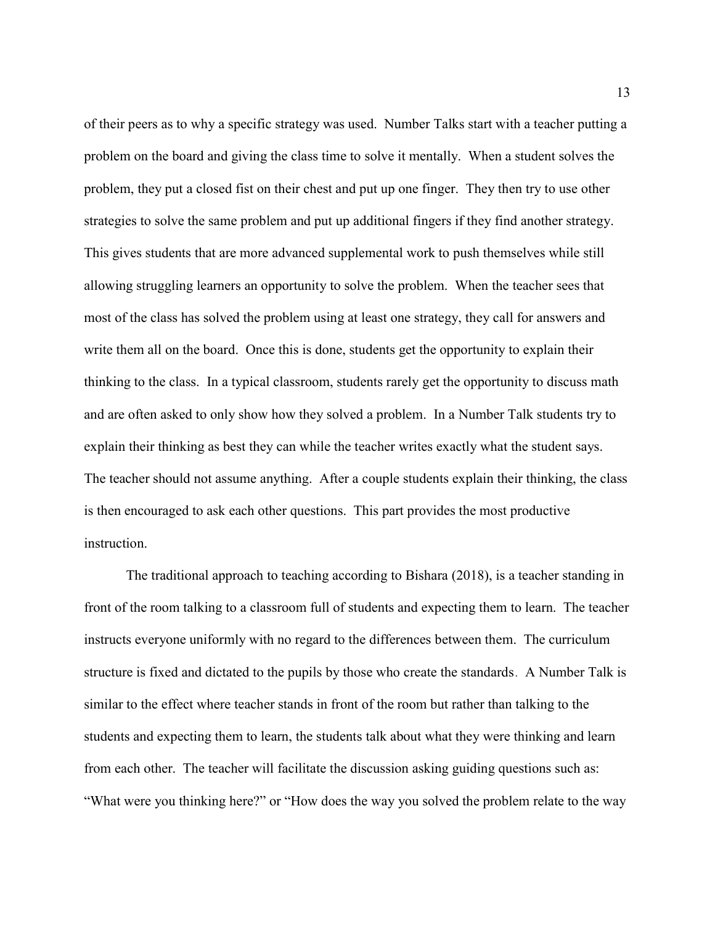of their peers as to why a specific strategy was used. Number Talks start with a teacher putting a problem on the board and giving the class time to solve it mentally. When a student solves the problem, they put a closed fist on their chest and put up one finger. They then try to use other strategies to solve the same problem and put up additional fingers if they find another strategy. This gives students that are more advanced supplemental work to push themselves while still allowing struggling learners an opportunity to solve the problem. When the teacher sees that most of the class has solved the problem using at least one strategy, they call for answers and write them all on the board. Once this is done, students get the opportunity to explain their thinking to the class. In a typical classroom, students rarely get the opportunity to discuss math and are often asked to only show how they solved a problem. In a Number Talk students try to explain their thinking as best they can while the teacher writes exactly what the student says. The teacher should not assume anything. After a couple students explain their thinking, the class is then encouraged to ask each other questions. This part provides the most productive instruction.

The traditional approach to teaching according to Bishara (2018), is a teacher standing in front of the room talking to a classroom full of students and expecting them to learn. The teacher instructs everyone uniformly with no regard to the differences between them. The curriculum structure is fixed and dictated to the pupils by those who create the standards. A Number Talk is similar to the effect where teacher stands in front of the room but rather than talking to the students and expecting them to learn, the students talk about what they were thinking and learn from each other. The teacher will facilitate the discussion asking guiding questions such as: "What were you thinking here?" or "How does the way you solved the problem relate to the way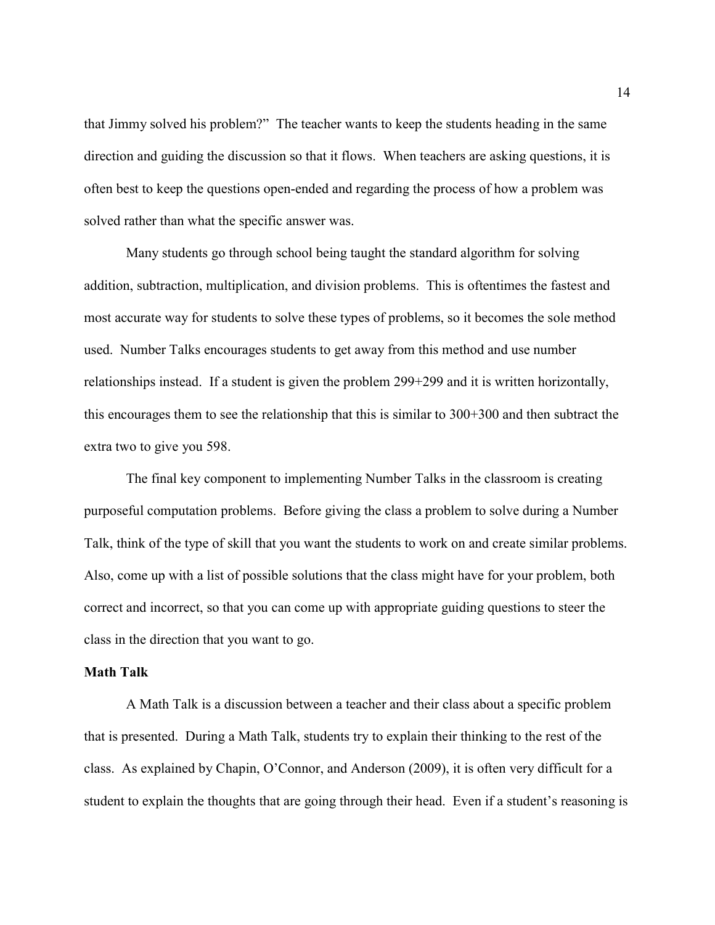that Jimmy solved his problem?" The teacher wants to keep the students heading in the same direction and guiding the discussion so that it flows. When teachers are asking questions, it is often best to keep the questions open-ended and regarding the process of how a problem was solved rather than what the specific answer was.

Many students go through school being taught the standard algorithm for solving addition, subtraction, multiplication, and division problems. This is oftentimes the fastest and most accurate way for students to solve these types of problems, so it becomes the sole method used. Number Talks encourages students to get away from this method and use number relationships instead. If a student is given the problem 299+299 and it is written horizontally, this encourages them to see the relationship that this is similar to 300+300 and then subtract the extra two to give you 598.

The final key component to implementing Number Talks in the classroom is creating purposeful computation problems. Before giving the class a problem to solve during a Number Talk, think of the type of skill that you want the students to work on and create similar problems. Also, come up with a list of possible solutions that the class might have for your problem, both correct and incorrect, so that you can come up with appropriate guiding questions to steer the class in the direction that you want to go.

#### Math Talk

 A Math Talk is a discussion between a teacher and their class about a specific problem that is presented. During a Math Talk, students try to explain their thinking to the rest of the class. As explained by Chapin, O'Connor, and Anderson (2009), it is often very difficult for a student to explain the thoughts that are going through their head. Even if a student's reasoning is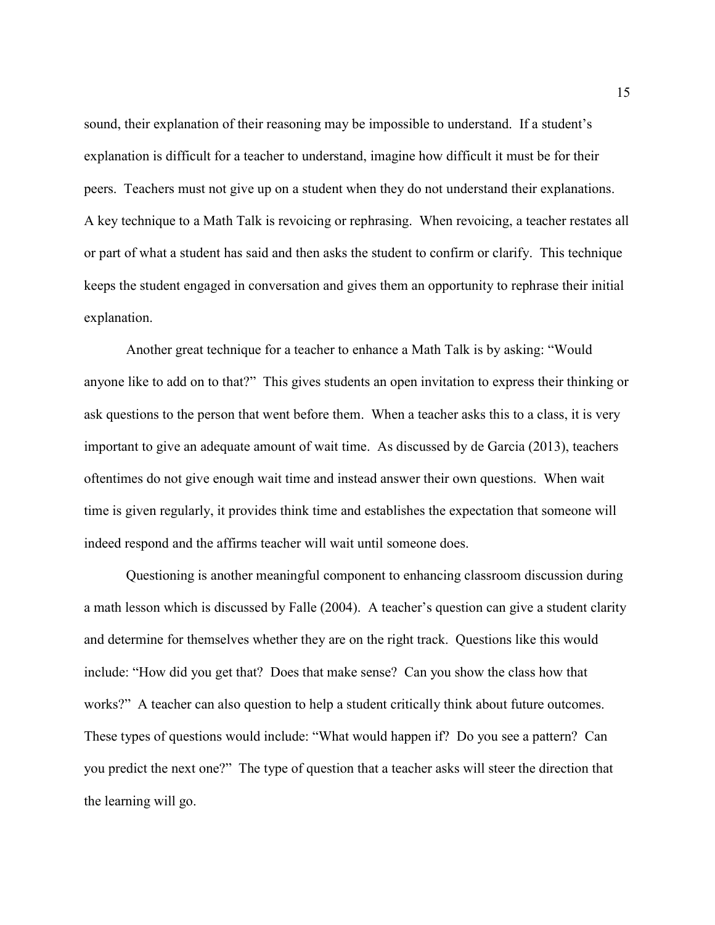sound, their explanation of their reasoning may be impossible to understand. If a student's explanation is difficult for a teacher to understand, imagine how difficult it must be for their peers. Teachers must not give up on a student when they do not understand their explanations. A key technique to a Math Talk is revoicing or rephrasing. When revoicing, a teacher restates all or part of what a student has said and then asks the student to confirm or clarify. This technique keeps the student engaged in conversation and gives them an opportunity to rephrase their initial explanation.

 Another great technique for a teacher to enhance a Math Talk is by asking: "Would anyone like to add on to that?" This gives students an open invitation to express their thinking or ask questions to the person that went before them. When a teacher asks this to a class, it is very important to give an adequate amount of wait time. As discussed by de Garcia (2013), teachers oftentimes do not give enough wait time and instead answer their own questions. When wait time is given regularly, it provides think time and establishes the expectation that someone will indeed respond and the affirms teacher will wait until someone does.

 Questioning is another meaningful component to enhancing classroom discussion during a math lesson which is discussed by Falle (2004). A teacher's question can give a student clarity and determine for themselves whether they are on the right track. Questions like this would include: "How did you get that? Does that make sense? Can you show the class how that works?" A teacher can also question to help a student critically think about future outcomes. These types of questions would include: "What would happen if? Do you see a pattern? Can you predict the next one?" The type of question that a teacher asks will steer the direction that the learning will go.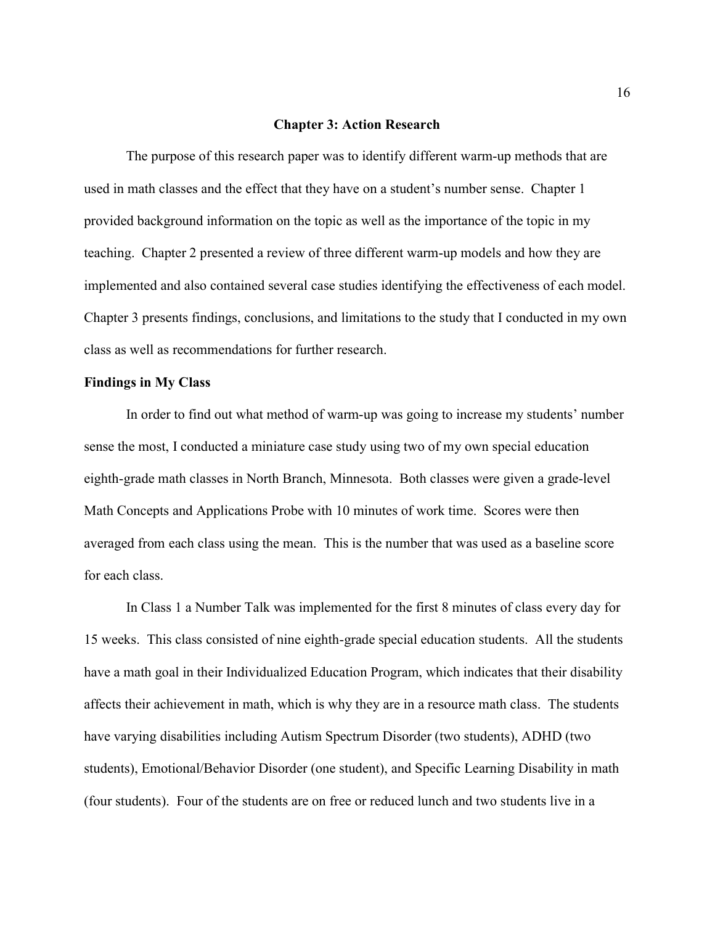#### Chapter 3: Action Research

The purpose of this research paper was to identify different warm-up methods that are used in math classes and the effect that they have on a student's number sense. Chapter 1 provided background information on the topic as well as the importance of the topic in my teaching. Chapter 2 presented a review of three different warm-up models and how they are implemented and also contained several case studies identifying the effectiveness of each model. Chapter 3 presents findings, conclusions, and limitations to the study that I conducted in my own class as well as recommendations for further research.

#### Findings in My Class

 In order to find out what method of warm-up was going to increase my students' number sense the most, I conducted a miniature case study using two of my own special education eighth-grade math classes in North Branch, Minnesota. Both classes were given a grade-level Math Concepts and Applications Probe with 10 minutes of work time. Scores were then averaged from each class using the mean. This is the number that was used as a baseline score for each class.

In Class 1 a Number Talk was implemented for the first 8 minutes of class every day for 15 weeks. This class consisted of nine eighth-grade special education students. All the students have a math goal in their Individualized Education Program, which indicates that their disability affects their achievement in math, which is why they are in a resource math class. The students have varying disabilities including Autism Spectrum Disorder (two students), ADHD (two students), Emotional/Behavior Disorder (one student), and Specific Learning Disability in math (four students). Four of the students are on free or reduced lunch and two students live in a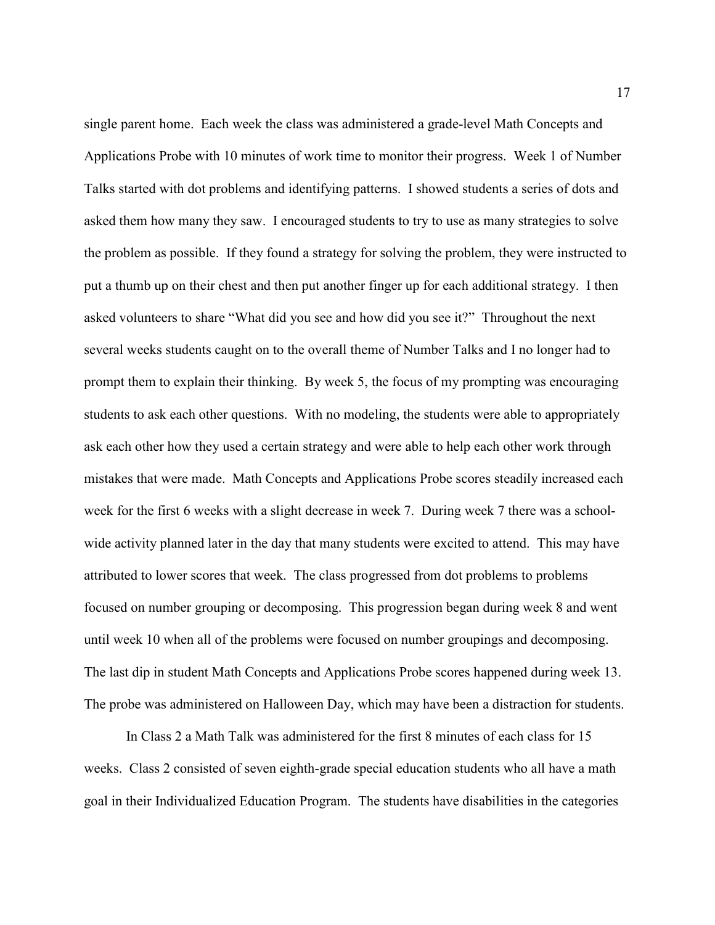single parent home. Each week the class was administered a grade-level Math Concepts and Applications Probe with 10 minutes of work time to monitor their progress. Week 1 of Number Talks started with dot problems and identifying patterns. I showed students a series of dots and asked them how many they saw. I encouraged students to try to use as many strategies to solve the problem as possible. If they found a strategy for solving the problem, they were instructed to put a thumb up on their chest and then put another finger up for each additional strategy. I then asked volunteers to share "What did you see and how did you see it?" Throughout the next several weeks students caught on to the overall theme of Number Talks and I no longer had to prompt them to explain their thinking. By week 5, the focus of my prompting was encouraging students to ask each other questions. With no modeling, the students were able to appropriately ask each other how they used a certain strategy and were able to help each other work through mistakes that were made. Math Concepts and Applications Probe scores steadily increased each week for the first 6 weeks with a slight decrease in week 7. During week 7 there was a schoolwide activity planned later in the day that many students were excited to attend. This may have attributed to lower scores that week. The class progressed from dot problems to problems focused on number grouping or decomposing. This progression began during week 8 and went until week 10 when all of the problems were focused on number groupings and decomposing. The last dip in student Math Concepts and Applications Probe scores happened during week 13. The probe was administered on Halloween Day, which may have been a distraction for students.

In Class 2 a Math Talk was administered for the first 8 minutes of each class for 15 weeks. Class 2 consisted of seven eighth-grade special education students who all have a math goal in their Individualized Education Program. The students have disabilities in the categories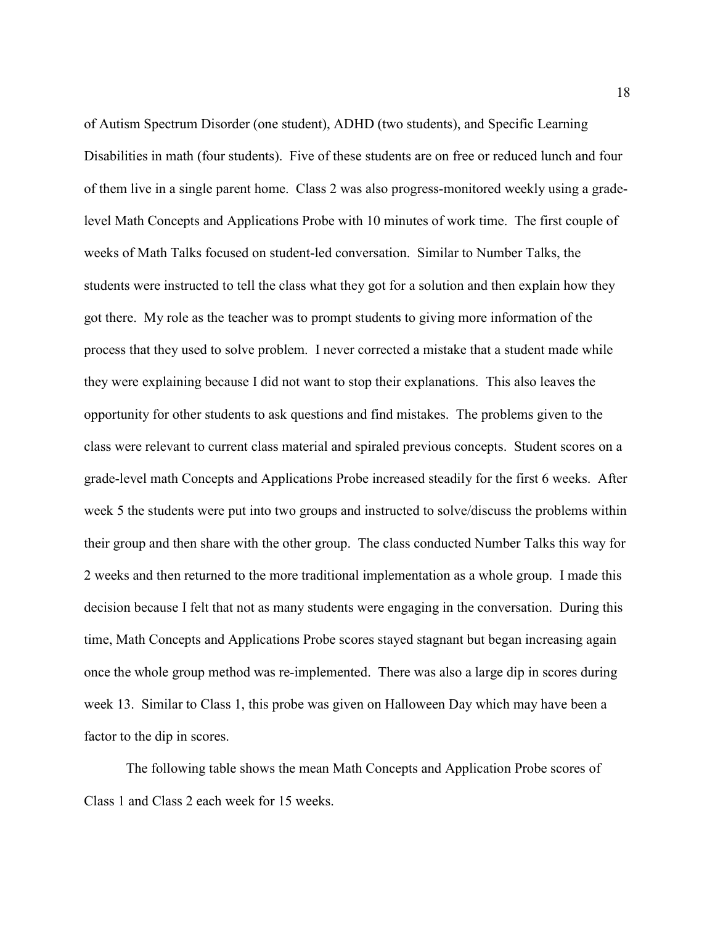of Autism Spectrum Disorder (one student), ADHD (two students), and Specific Learning Disabilities in math (four students). Five of these students are on free or reduced lunch and four of them live in a single parent home. Class 2 was also progress-monitored weekly using a gradelevel Math Concepts and Applications Probe with 10 minutes of work time. The first couple of weeks of Math Talks focused on student-led conversation. Similar to Number Talks, the students were instructed to tell the class what they got for a solution and then explain how they got there. My role as the teacher was to prompt students to giving more information of the process that they used to solve problem. I never corrected a mistake that a student made while they were explaining because I did not want to stop their explanations. This also leaves the opportunity for other students to ask questions and find mistakes. The problems given to the class were relevant to current class material and spiraled previous concepts. Student scores on a grade-level math Concepts and Applications Probe increased steadily for the first 6 weeks. After week 5 the students were put into two groups and instructed to solve/discuss the problems within their group and then share with the other group. The class conducted Number Talks this way for 2 weeks and then returned to the more traditional implementation as a whole group. I made this decision because I felt that not as many students were engaging in the conversation. During this time, Math Concepts and Applications Probe scores stayed stagnant but began increasing again once the whole group method was re-implemented. There was also a large dip in scores during week 13. Similar to Class 1, this probe was given on Halloween Day which may have been a factor to the dip in scores.

The following table shows the mean Math Concepts and Application Probe scores of Class 1 and Class 2 each week for 15 weeks.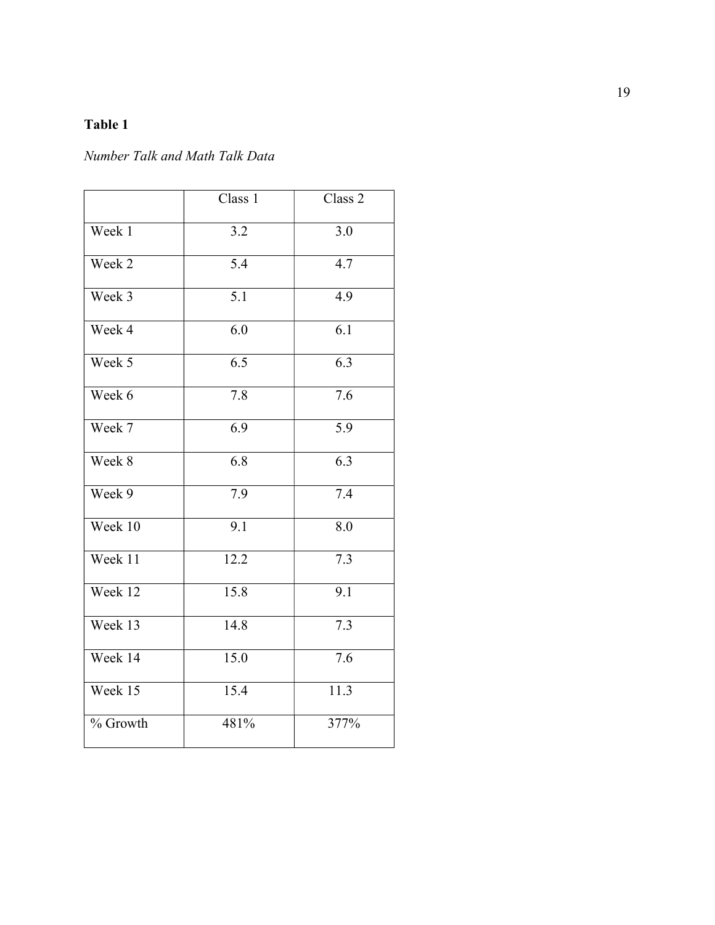# Table 1

## Number Talk and Math Talk Data

|          | Class 1 | Class 2          |
|----------|---------|------------------|
| Week 1   | 3.2     | 3.0              |
| Week 2   | 5.4     | 4.7              |
| Week 3   | 5.1     | 4.9              |
| Week 4   | 6.0     | $\overline{6.1}$ |
| Week 5   | 6.5     | 6.3              |
| Week 6   | 7.8     | 7.6              |
| Week 7   | 6.9     | 5.9              |
| Week 8   | 6.8     | 6.3              |
| Week 9   | 7.9     | 7.4              |
| Week 10  | 9.1     | 8.0              |
| Week 11  | 12.2    | $\overline{7.3}$ |
| Week 12  | 15.8    | 9.1              |
| Week 13  | 14.8    | 7.3              |
| Week 14  | 15.0    | 7.6              |
| Week 15  | 15.4    | 11.3             |
| % Growth | 481%    | 377%             |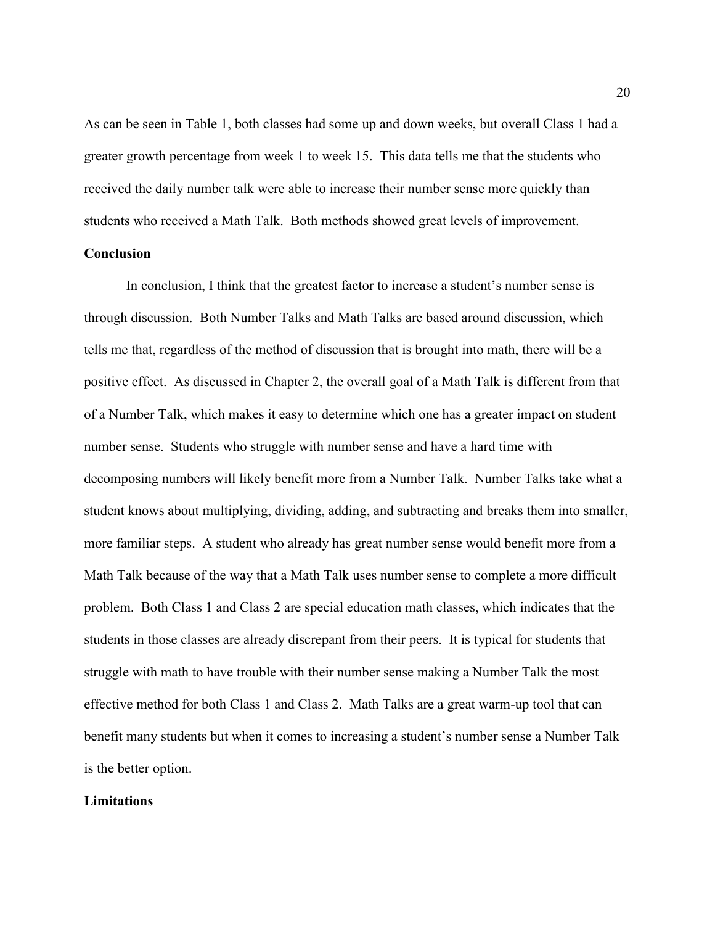As can be seen in Table 1, both classes had some up and down weeks, but overall Class 1 had a greater growth percentage from week 1 to week 15. This data tells me that the students who received the daily number talk were able to increase their number sense more quickly than students who received a Math Talk. Both methods showed great levels of improvement.

### **Conclusion**

In conclusion, I think that the greatest factor to increase a student's number sense is through discussion. Both Number Talks and Math Talks are based around discussion, which tells me that, regardless of the method of discussion that is brought into math, there will be a positive effect. As discussed in Chapter 2, the overall goal of a Math Talk is different from that of a Number Talk, which makes it easy to determine which one has a greater impact on student number sense. Students who struggle with number sense and have a hard time with decomposing numbers will likely benefit more from a Number Talk. Number Talks take what a student knows about multiplying, dividing, adding, and subtracting and breaks them into smaller, more familiar steps. A student who already has great number sense would benefit more from a Math Talk because of the way that a Math Talk uses number sense to complete a more difficult problem. Both Class 1 and Class 2 are special education math classes, which indicates that the students in those classes are already discrepant from their peers. It is typical for students that struggle with math to have trouble with their number sense making a Number Talk the most effective method for both Class 1 and Class 2. Math Talks are a great warm-up tool that can benefit many students but when it comes to increasing a student's number sense a Number Talk is the better option.

#### **Limitations**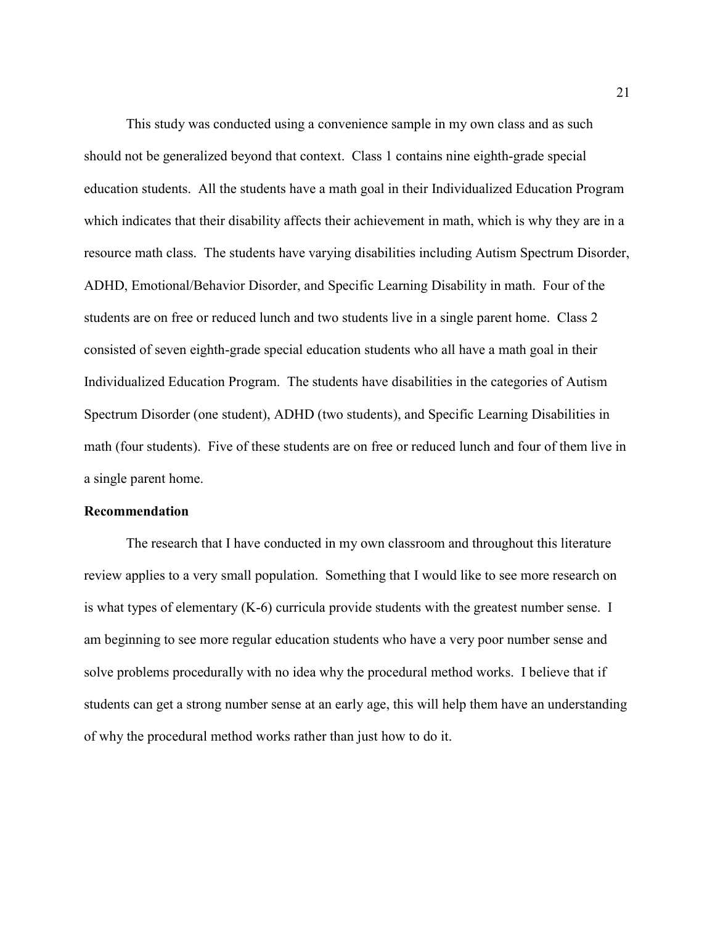This study was conducted using a convenience sample in my own class and as such should not be generalized beyond that context. Class 1 contains nine eighth-grade special education students. All the students have a math goal in their Individualized Education Program which indicates that their disability affects their achievement in math, which is why they are in a resource math class. The students have varying disabilities including Autism Spectrum Disorder, ADHD, Emotional/Behavior Disorder, and Specific Learning Disability in math. Four of the students are on free or reduced lunch and two students live in a single parent home. Class 2 consisted of seven eighth-grade special education students who all have a math goal in their Individualized Education Program. The students have disabilities in the categories of Autism Spectrum Disorder (one student), ADHD (two students), and Specific Learning Disabilities in math (four students). Five of these students are on free or reduced lunch and four of them live in a single parent home.

#### Recommendation

 The research that I have conducted in my own classroom and throughout this literature review applies to a very small population. Something that I would like to see more research on is what types of elementary (K-6) curricula provide students with the greatest number sense. I am beginning to see more regular education students who have a very poor number sense and solve problems procedurally with no idea why the procedural method works. I believe that if students can get a strong number sense at an early age, this will help them have an understanding of why the procedural method works rather than just how to do it.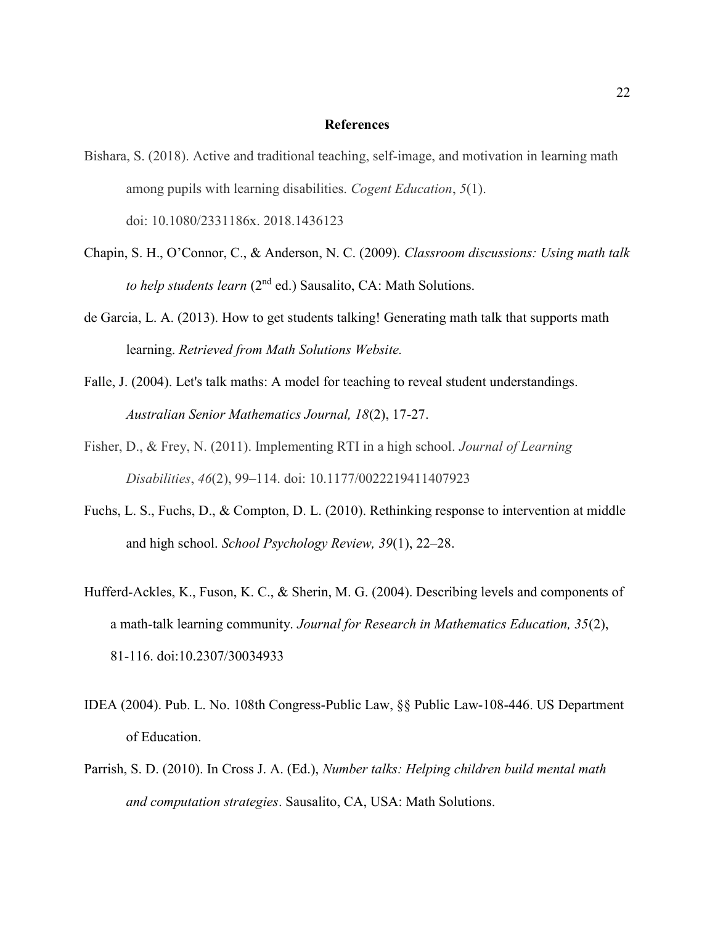#### **References**

- Bishara, S. (2018). Active and traditional teaching, self-image, and motivation in learning math among pupils with learning disabilities. Cogent Education, 5(1). doi: 10.1080/2331186x. 2018.1436123
- Chapin, S. H., O'Connor, C., & Anderson, N. C. (2009). Classroom discussions: Using math talk to help students learn  $(2<sup>nd</sup>$  ed.) Sausalito, CA: Math Solutions.
- de Garcia, L. A. (2013). How to get students talking! Generating math talk that supports math learning. Retrieved from Math Solutions Website.
- Falle, J. (2004). Let's talk maths: A model for teaching to reveal student understandings. Australian Senior Mathematics Journal, 18(2), 17-27.
- Fisher, D., & Frey, N. (2011). Implementing RTI in a high school. Journal of Learning Disabilities, 46(2), 99–114. doi: 10.1177/0022219411407923
- Fuchs, L. S., Fuchs, D., & Compton, D. L. (2010). Rethinking response to intervention at middle and high school. School Psychology Review, 39(1), 22–28.
- Hufferd-Ackles, K., Fuson, K. C., & Sherin, M. G. (2004). Describing levels and components of a math-talk learning community. Journal for Research in Mathematics Education, 35(2), 81-116. doi:10.2307/30034933
- IDEA (2004). Pub. L. No. 108th Congress-Public Law, §§ Public Law-108-446. US Department of Education.
- Parrish, S. D. (2010). In Cross J. A. (Ed.), Number talks: Helping children build mental math and computation strategies. Sausalito, CA, USA: Math Solutions.